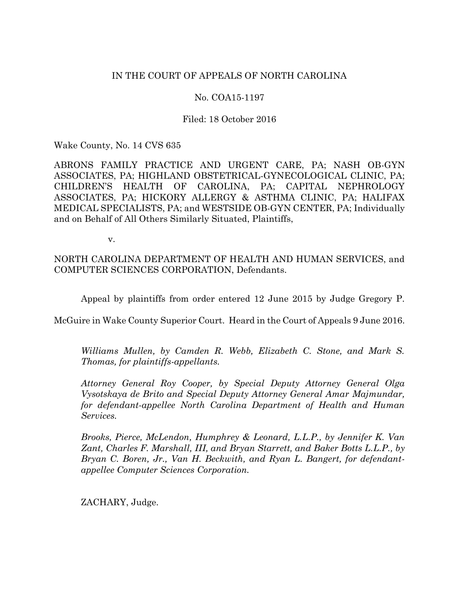# IN THE COURT OF APPEALS OF NORTH CAROLINA

# No. COA15-1197

# Filed: 18 October 2016

Wake County, No. 14 CVS 635

ABRONS FAMILY PRACTICE AND URGENT CARE, PA; NASH OB-GYN ASSOCIATES, PA; HIGHLAND OBSTETRICAL-GYNECOLOGICAL CLINIC, PA; CHILDREN'S HEALTH OF CAROLINA, PA; CAPITAL NEPHROLOGY ASSOCIATES, PA; HICKORY ALLERGY & ASTHMA CLINIC, PA; HALIFAX MEDICAL SPECIALISTS, PA; and WESTSIDE OB-GYN CENTER, PA; Individually and on Behalf of All Others Similarly Situated, Plaintiffs,

v.

NORTH CAROLINA DEPARTMENT OF HEALTH AND HUMAN SERVICES, and COMPUTER SCIENCES CORPORATION, Defendants.

Appeal by plaintiffs from order entered 12 June 2015 by Judge Gregory P.

McGuire in Wake County Superior Court. Heard in the Court of Appeals 9 June 2016.

*Williams Mullen, by Camden R. Webb, Elizabeth C. Stone, and Mark S. Thomas, for plaintiffs-appellants.*

*Attorney General Roy Cooper, by Special Deputy Attorney General Olga Vysotskaya de Brito and Special Deputy Attorney General Amar Majmundar, for defendant-appellee North Carolina Department of Health and Human Services.*

*Brooks, Pierce, McLendon, Humphrey & Leonard, L.L.P., by Jennifer K. Van Zant, Charles F. Marshall, III, and Bryan Starrett, and Baker Botts L.L.P., by Bryan C. Boren, Jr., Van H. Beckwith, and Ryan L. Bangert, for defendantappellee Computer Sciences Corporation.*

ZACHARY, Judge.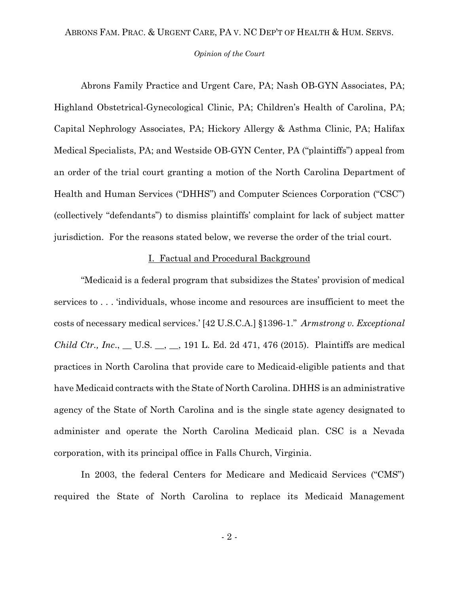#### *Opinion of the Court*

Abrons Family Practice and Urgent Care, PA; Nash OB-GYN Associates, PA; Highland Obstetrical-Gynecological Clinic, PA; Children's Health of Carolina, PA; Capital Nephrology Associates, PA; Hickory Allergy & Asthma Clinic, PA; Halifax Medical Specialists, PA; and Westside OB-GYN Center, PA ("plaintiffs") appeal from an order of the trial court granting a motion of the North Carolina Department of Health and Human Services ("DHHS") and Computer Sciences Corporation ("CSC") (collectively "defendants") to dismiss plaintiffs' complaint for lack of subject matter jurisdiction. For the reasons stated below, we reverse the order of the trial court.

#### I. Factual and Procedural Background

"Medicaid is a federal program that subsidizes the States' provision of medical services to . . . 'individuals, whose income and resources are insufficient to meet the costs of necessary medical services.' [42 U.S.C.A.] §1396-1." *Armstrong v. Exceptional Child Ctr., Inc*., \_\_ U.S. \_\_, \_\_, 191 L. Ed. 2d 471, 476 (2015). Plaintiffs are medical practices in North Carolina that provide care to Medicaid-eligible patients and that have Medicaid contracts with the State of North Carolina. DHHS is an administrative agency of the State of North Carolina and is the single state agency designated to administer and operate the North Carolina Medicaid plan. CSC is a Nevada corporation, with its principal office in Falls Church, Virginia.

In 2003, the federal Centers for Medicare and Medicaid Services ("CMS") required the State of North Carolina to replace its Medicaid Management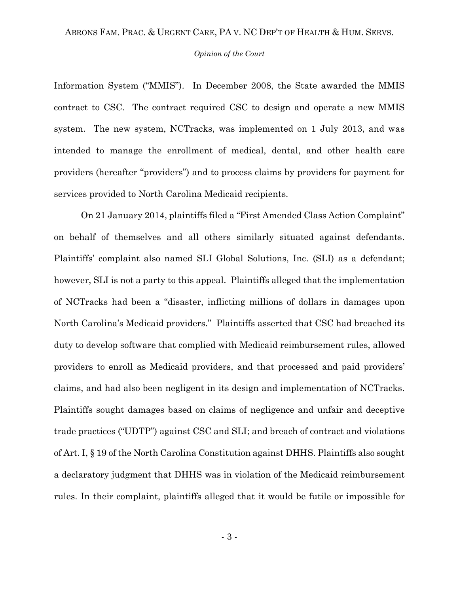#### *Opinion of the Court*

Information System ("MMIS"). In December 2008, the State awarded the MMIS contract to CSC. The contract required CSC to design and operate a new MMIS system. The new system, NCTracks, was implemented on 1 July 2013, and was intended to manage the enrollment of medical, dental, and other health care providers (hereafter "providers") and to process claims by providers for payment for services provided to North Carolina Medicaid recipients.

On 21 January 2014, plaintiffs filed a "First Amended Class Action Complaint" on behalf of themselves and all others similarly situated against defendants. Plaintiffs' complaint also named SLI Global Solutions, Inc. (SLI) as a defendant; however, SLI is not a party to this appeal. Plaintiffs alleged that the implementation of NCTracks had been a "disaster, inflicting millions of dollars in damages upon North Carolina's Medicaid providers." Plaintiffs asserted that CSC had breached its duty to develop software that complied with Medicaid reimbursement rules, allowed providers to enroll as Medicaid providers, and that processed and paid providers' claims, and had also been negligent in its design and implementation of NCTracks. Plaintiffs sought damages based on claims of negligence and unfair and deceptive trade practices ("UDTP") against CSC and SLI; and breach of contract and violations of Art. I, § 19 of the North Carolina Constitution against DHHS. Plaintiffs also sought a declaratory judgment that DHHS was in violation of the Medicaid reimbursement rules. In their complaint, plaintiffs alleged that it would be futile or impossible for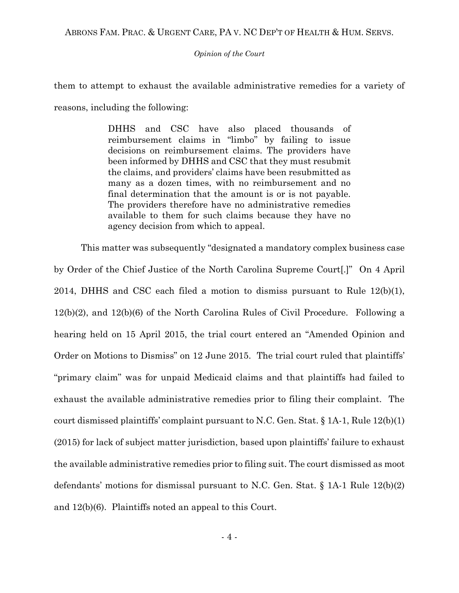*Opinion of the Court*

them to attempt to exhaust the available administrative remedies for a variety of reasons, including the following:

> DHHS and CSC have also placed thousands of reimbursement claims in "limbo" by failing to issue decisions on reimbursement claims. The providers have been informed by DHHS and CSC that they must resubmit the claims, and providers' claims have been resubmitted as many as a dozen times, with no reimbursement and no final determination that the amount is or is not payable. The providers therefore have no administrative remedies available to them for such claims because they have no agency decision from which to appeal.

This matter was subsequently "designated a mandatory complex business case by Order of the Chief Justice of the North Carolina Supreme Court[.]" On 4 April 2014, DHHS and CSC each filed a motion to dismiss pursuant to Rule 12(b)(1), 12(b)(2), and 12(b)(6) of the North Carolina Rules of Civil Procedure. Following a hearing held on 15 April 2015, the trial court entered an "Amended Opinion and Order on Motions to Dismiss" on 12 June 2015. The trial court ruled that plaintiffs' "primary claim" was for unpaid Medicaid claims and that plaintiffs had failed to exhaust the available administrative remedies prior to filing their complaint. The court dismissed plaintiffs' complaint pursuant to N.C. Gen. Stat.  $\S 1A-1$ , Rule  $12(b)(1)$ (2015) for lack of subject matter jurisdiction, based upon plaintiffs' failure to exhaust the available administrative remedies prior to filing suit. The court dismissed as moot defendants' motions for dismissal pursuant to N.C. Gen. Stat. § 1A-1 Rule 12(b)(2) and 12(b)(6). Plaintiffs noted an appeal to this Court.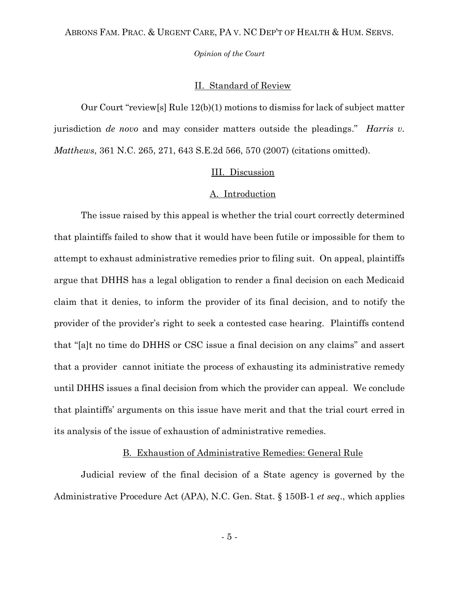*Opinion of the Court*

### II. Standard of Review

Our Court "review[s] Rule 12(b)(1) motions to dismiss for lack of subject matter jurisdiction *de novo* and may consider matters outside the pleadings." *Harris v. Matthews*, 361 N.C. 265, 271, 643 S.E.2d 566, 570 (2007) (citations omitted).

### III. Discussion

## A. Introduction

The issue raised by this appeal is whether the trial court correctly determined that plaintiffs failed to show that it would have been futile or impossible for them to attempt to exhaust administrative remedies prior to filing suit. On appeal, plaintiffs argue that DHHS has a legal obligation to render a final decision on each Medicaid claim that it denies, to inform the provider of its final decision, and to notify the provider of the provider's right to seek a contested case hearing. Plaintiffs contend that "[a]t no time do DHHS or CSC issue a final decision on any claims" and assert that a provider cannot initiate the process of exhausting its administrative remedy until DHHS issues a final decision from which the provider can appeal. We conclude that plaintiffs' arguments on this issue have merit and that the trial court erred in its analysis of the issue of exhaustion of administrative remedies.

### B. Exhaustion of Administrative Remedies: General Rule

Judicial review of the final decision of a State agency is governed by the Administrative Procedure Act (APA), N.C. Gen. Stat. § 150B-1 *et seq*., which applies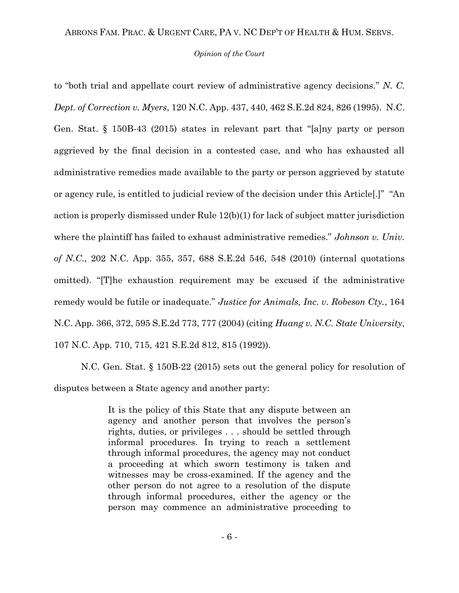#### *Opinion of the Court*

to "both trial and appellate court review of administrative agency decisions." *N. C. Dept. of Correction v. Myers*, 120 N.C. App. 437, 440, 462 S.E.2d 824, 826 (1995). N.C. Gen. Stat. § 150B-43 (2015) states in relevant part that "[a]ny party or person aggrieved by the final decision in a contested case, and who has exhausted all administrative remedies made available to the party or person aggrieved by statute or agency rule, is entitled to judicial review of the decision under this Article[.]" "An action is properly dismissed under Rule 12(b)(1) for lack of subject matter jurisdiction where the plaintiff has failed to exhaust administrative remedies." *Johnson v. Univ. of N.C*., 202 N.C. App. 355, 357, 688 S.E.2d 546, 548 (2010) (internal quotations omitted). "[T]he exhaustion requirement may be excused if the administrative remedy would be futile or inadequate." *Justice for Animals, Inc. v. Robeson Cty.*, 164 N.C. App. 366, 372, 595 S.E.2d 773, 777 (2004) (citing *Huang v. N.C. State University*, 107 N.C. App. 710, 715, 421 S.E.2d 812, 815 (1992)).

N.C. Gen. Stat. § 150B-22 (2015) sets out the general policy for resolution of disputes between a State agency and another party:

> It is the policy of this State that any dispute between an agency and another person that involves the person's rights, duties, or privileges . . . should be settled through informal procedures. In trying to reach a settlement through informal procedures, the agency may not conduct a proceeding at which sworn testimony is taken and witnesses may be cross-examined. If the agency and the other person do not agree to a resolution of the dispute through informal procedures, either the agency or the person may commence an administrative proceeding to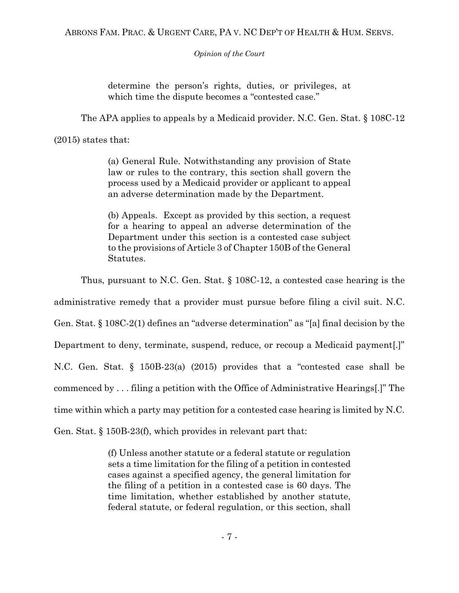determine the person's rights, duties, or privileges, at which time the dispute becomes a "contested case."

The APA applies to appeals by a Medicaid provider. N.C. Gen. Stat. § 108C-12

(2015) states that:

(a) General Rule. Notwithstanding any provision of State law or rules to the contrary, this section shall govern the process used by a Medicaid provider or applicant to appeal an adverse determination made by the Department.

(b) Appeals. Except as provided by this section, a request for a hearing to appeal an adverse determination of the Department under this section is a contested case subject to the provisions of Article 3 of Chapter 150B of the General Statutes.

Thus, pursuant to N.C. Gen. Stat. § 108C-12, a contested case hearing is the

administrative remedy that a provider must pursue before filing a civil suit. N.C.

Gen. Stat. § 108C-2(1) defines an "adverse determination" as "[a] final decision by the

Department to deny, terminate, suspend, reduce, or recoup a Medicaid payment[.]"

N.C. Gen. Stat. § 150B-23(a) (2015) provides that a "contested case shall be

commenced by . . . filing a petition with the Office of Administrative Hearings[.]" The

time within which a party may petition for a contested case hearing is limited by N.C.

Gen. Stat. § 150B-23(f), which provides in relevant part that:

(f) Unless another statute or a federal statute or regulation sets a time limitation for the filing of a petition in contested cases against a specified agency, the general limitation for the filing of a petition in a contested case is 60 days. The time limitation, whether established by another statute, federal statute, or federal regulation, or this section, shall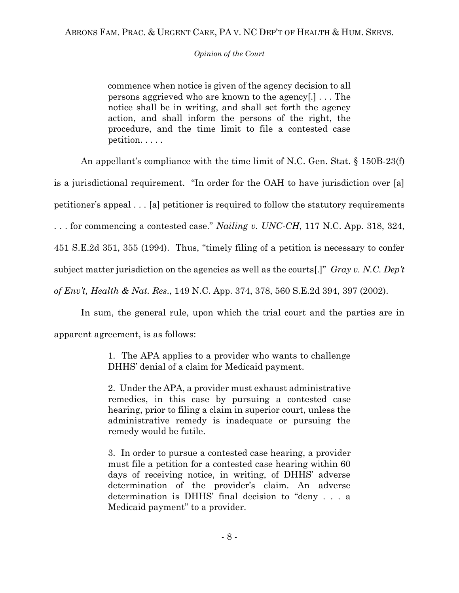commence when notice is given of the agency decision to all persons aggrieved who are known to the agency[.] . . . The notice shall be in writing, and shall set forth the agency action, and shall inform the persons of the right, the procedure, and the time limit to file a contested case petition. . . . .

An appellant's compliance with the time limit of N.C. Gen. Stat. § 150B-23(f)

is a jurisdictional requirement. "In order for the OAH to have jurisdiction over [a]

petitioner's appeal . . . [a] petitioner is required to follow the statutory requirements

. . . for commencing a contested case." *Nailing v. UNC-CH*, 117 N.C. App. 318, 324,

451 S.E.2d 351, 355 (1994). Thus, "timely filing of a petition is necessary to confer

subject matter jurisdiction on the agencies as well as the courts[.]" *Gray v. N.C. Dep't* 

*of Env't, Health & Nat. Res*., 149 N.C. App. 374, 378, 560 S.E.2d 394, 397 (2002).

In sum, the general rule, upon which the trial court and the parties are in apparent agreement, is as follows:

> 1. The APA applies to a provider who wants to challenge DHHS' denial of a claim for Medicaid payment.

> 2. Under the APA, a provider must exhaust administrative remedies, in this case by pursuing a contested case hearing, prior to filing a claim in superior court, unless the administrative remedy is inadequate or pursuing the remedy would be futile.

> 3. In order to pursue a contested case hearing, a provider must file a petition for a contested case hearing within 60 days of receiving notice, in writing, of DHHS' adverse determination of the provider's claim. An adverse determination is DHHS' final decision to "deny . . . a Medicaid payment" to a provider.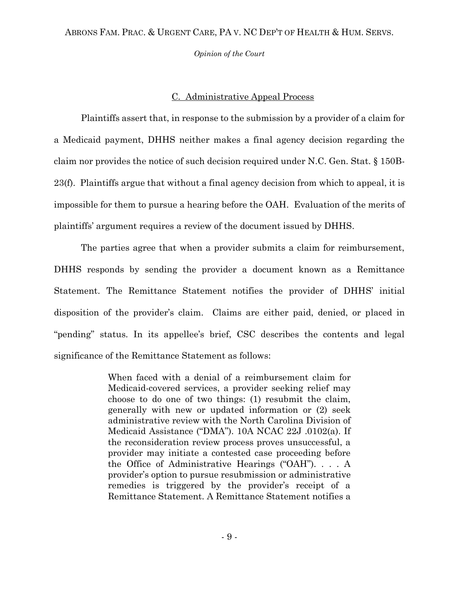*Opinion of the Court*

## C. Administrative Appeal Process

Plaintiffs assert that, in response to the submission by a provider of a claim for a Medicaid payment, DHHS neither makes a final agency decision regarding the claim nor provides the notice of such decision required under N.C. Gen. Stat. § 150B-23(f). Plaintiffs argue that without a final agency decision from which to appeal, it is impossible for them to pursue a hearing before the OAH. Evaluation of the merits of plaintiffs' argument requires a review of the document issued by DHHS.

The parties agree that when a provider submits a claim for reimbursement, DHHS responds by sending the provider a document known as a Remittance Statement. The Remittance Statement notifies the provider of DHHS' initial disposition of the provider's claim. Claims are either paid, denied, or placed in "pending" status. In its appellee's brief, CSC describes the contents and legal significance of the Remittance Statement as follows:

> When faced with a denial of a reimbursement claim for Medicaid-covered services, a provider seeking relief may choose to do one of two things: (1) resubmit the claim, generally with new or updated information or (2) seek administrative review with the North Carolina Division of Medicaid Assistance ("DMA"). 10A NCAC 22J .0102(a). If the reconsideration review process proves unsuccessful, a provider may initiate a contested case proceeding before the Office of Administrative Hearings ("OAH"). . . . A provider's option to pursue resubmission or administrative remedies is triggered by the provider's receipt of a Remittance Statement. A Remittance Statement notifies a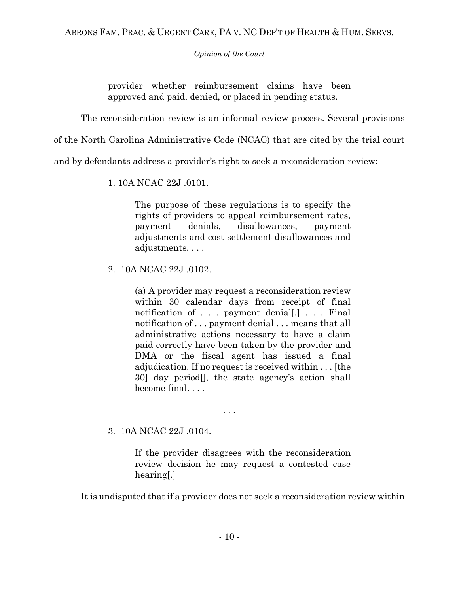provider whether reimbursement claims have been approved and paid, denied, or placed in pending status.

The reconsideration review is an informal review process. Several provisions

of the North Carolina Administrative Code (NCAC) that are cited by the trial court

and by defendants address a provider's right to seek a reconsideration review:

1. 10A NCAC 22J .0101.

The purpose of these regulations is to specify the rights of providers to appeal reimbursement rates, payment denials, disallowances, payment adjustments and cost settlement disallowances and adjustments. . . .

2. 10A NCAC 22J .0102.

(a) A provider may request a reconsideration review within 30 calendar days from receipt of final notification of . . . payment denial[.] . . . Final notification of . . . payment denial . . . means that all administrative actions necessary to have a claim paid correctly have been taken by the provider and DMA or the fiscal agent has issued a final adjudication. If no request is received within . . . [the 30] day period[], the state agency's action shall become final. . . .

. . .

# 3. 10A NCAC 22J .0104.

If the provider disagrees with the reconsideration review decision he may request a contested case hearing[.]

It is undisputed that if a provider does not seek a reconsideration review within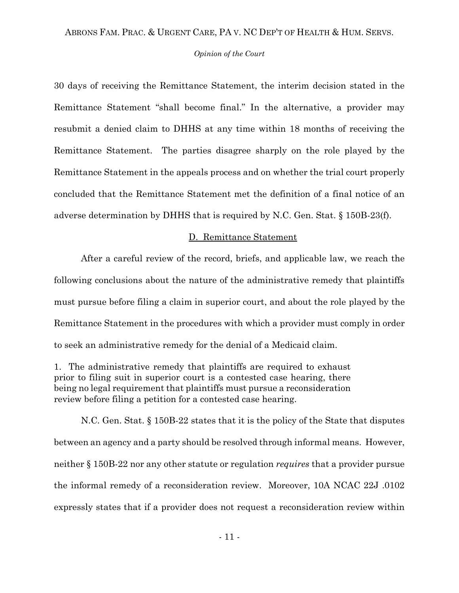#### *Opinion of the Court*

30 days of receiving the Remittance Statement, the interim decision stated in the Remittance Statement "shall become final." In the alternative, a provider may resubmit a denied claim to DHHS at any time within 18 months of receiving the Remittance Statement. The parties disagree sharply on the role played by the Remittance Statement in the appeals process and on whether the trial court properly concluded that the Remittance Statement met the definition of a final notice of an adverse determination by DHHS that is required by N.C. Gen. Stat. § 150B-23(f).

### D. Remittance Statement

After a careful review of the record, briefs, and applicable law, we reach the following conclusions about the nature of the administrative remedy that plaintiffs must pursue before filing a claim in superior court, and about the role played by the Remittance Statement in the procedures with which a provider must comply in order to seek an administrative remedy for the denial of a Medicaid claim.

1. The administrative remedy that plaintiffs are required to exhaust prior to filing suit in superior court is a contested case hearing, there being no legal requirement that plaintiffs must pursue a reconsideration review before filing a petition for a contested case hearing.

N.C. Gen. Stat. § 150B-22 states that it is the policy of the State that disputes between an agency and a party should be resolved through informal means. However, neither § 150B-22 nor any other statute or regulation *requires* that a provider pursue the informal remedy of a reconsideration review. Moreover, 10A NCAC 22J .0102 expressly states that if a provider does not request a reconsideration review within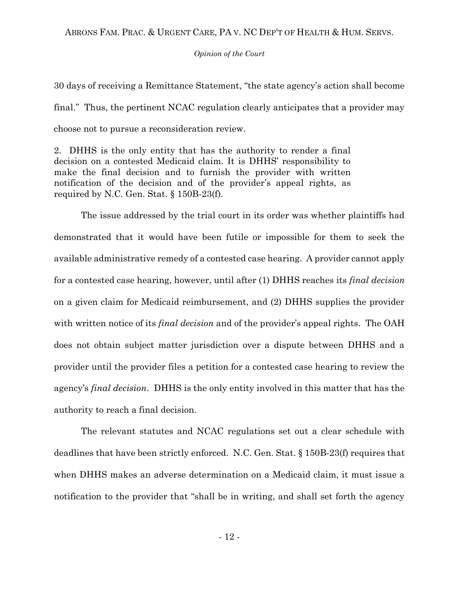### *Opinion of the Court*

30 days of receiving a Remittance Statement, "the state agency's action shall become final." Thus, the pertinent NCAC regulation clearly anticipates that a provider may choose not to pursue a reconsideration review.

2. DHHS is the only entity that has the authority to render a final decision on a contested Medicaid claim. It is DHHS' responsibility to make the final decision and to furnish the provider with written notification of the decision and of the provider's appeal rights, as required by N.C. Gen. Stat. § 150B-23(f).

The issue addressed by the trial court in its order was whether plaintiffs had demonstrated that it would have been futile or impossible for them to seek the available administrative remedy of a contested case hearing. A provider cannot apply for a contested case hearing, however, until after (1) DHHS reaches its *final decision* on a given claim for Medicaid reimbursement, and (2) DHHS supplies the provider with written notice of its *final decision* and of the provider's appeal rights. The OAH does not obtain subject matter jurisdiction over a dispute between DHHS and a provider until the provider files a petition for a contested case hearing to review the agency's *final decision*. DHHS is the only entity involved in this matter that has the authority to reach a final decision.

The relevant statutes and NCAC regulations set out a clear schedule with deadlines that have been strictly enforced. N.C. Gen. Stat. § 150B-23(f) requires that when DHHS makes an adverse determination on a Medicaid claim, it must issue a notification to the provider that "shall be in writing, and shall set forth the agency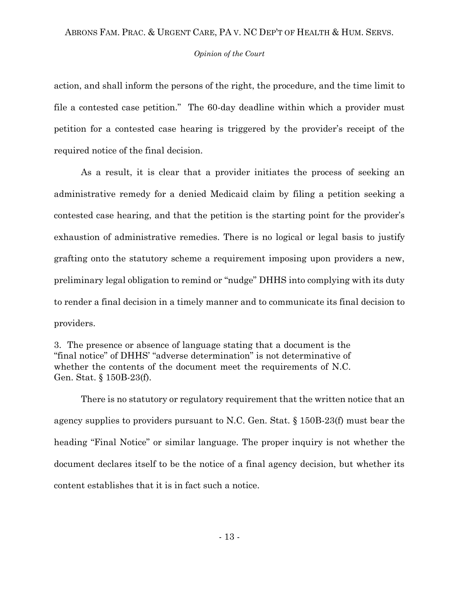#### *Opinion of the Court*

action, and shall inform the persons of the right, the procedure, and the time limit to file a contested case petition." The 60-day deadline within which a provider must petition for a contested case hearing is triggered by the provider's receipt of the required notice of the final decision.

As a result, it is clear that a provider initiates the process of seeking an administrative remedy for a denied Medicaid claim by filing a petition seeking a contested case hearing, and that the petition is the starting point for the provider's exhaustion of administrative remedies. There is no logical or legal basis to justify grafting onto the statutory scheme a requirement imposing upon providers a new, preliminary legal obligation to remind or "nudge" DHHS into complying with its duty to render a final decision in a timely manner and to communicate its final decision to providers.

3. The presence or absence of language stating that a document is the "final notice" of DHHS' "adverse determination" is not determinative of whether the contents of the document meet the requirements of N.C. Gen. Stat. § 150B-23(f).

There is no statutory or regulatory requirement that the written notice that an agency supplies to providers pursuant to N.C. Gen. Stat. § 150B-23(f) must bear the heading "Final Notice" or similar language. The proper inquiry is not whether the document declares itself to be the notice of a final agency decision, but whether its content establishes that it is in fact such a notice.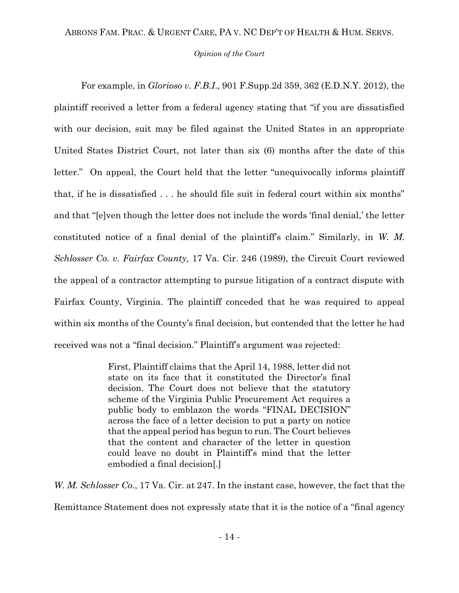### *Opinion of the Court*

For example, in *Glorioso v. F.B.I*., 901 F.Supp.2d 359, 362 (E.D.N.Y. 2012), the plaintiff received a letter from a federal agency stating that "if you are dissatisfied with our decision, suit may be filed against the United States in an appropriate United States District Court, not later than six (6) months after the date of this letter." On appeal, the Court held that the letter "unequivocally informs plaintiff that, if he is dissatisfied . . . he should file suit in federal court within six months" and that "[e]ven though the letter does not include the words 'final denial,' the letter constituted notice of a final denial of the plaintiff's claim." Similarly, in *W. M. Schlosser Co. v. Fairfax County*, 17 Va. Cir. 246 (1989), the Circuit Court reviewed the appeal of a contractor attempting to pursue litigation of a contract dispute with Fairfax County, Virginia. The plaintiff conceded that he was required to appeal within six months of the County's final decision, but contended that the letter he had received was not a "final decision." Plaintiff's argument was rejected:

> First, Plaintiff claims that the April 14, 1988, letter did not state on its face that it constituted the Director's final decision. The Court does not believe that the statutory scheme of the Virginia Public Procurement Act requires a public body to emblazon the words "FINAL DECISION" across the face of a letter decision to put a party on notice that the appeal period has begun to run. The Court believes that the content and character of the letter in question could leave no doubt in Plaintiff's mind that the letter embodied a final decision[.]

*W. M. Schlosser Co.*, 17 Va. Cir. at 247. In the instant case, however, the fact that the Remittance Statement does not expressly state that it is the notice of a "final agency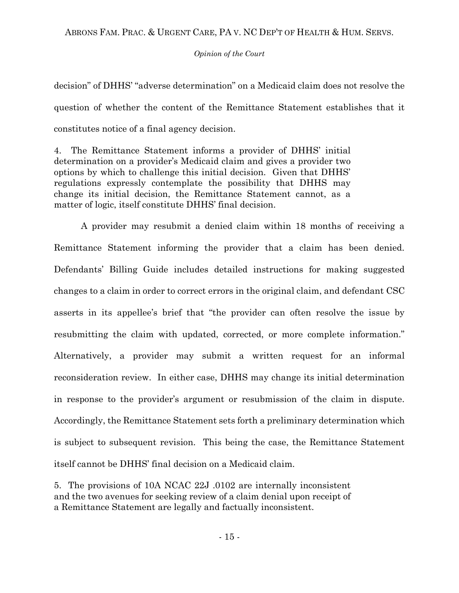decision" of DHHS' "adverse determination" on a Medicaid claim does not resolve the question of whether the content of the Remittance Statement establishes that it constitutes notice of a final agency decision.

4. The Remittance Statement informs a provider of DHHS' initial determination on a provider's Medicaid claim and gives a provider two options by which to challenge this initial decision. Given that DHHS' regulations expressly contemplate the possibility that DHHS may change its initial decision, the Remittance Statement cannot, as a matter of logic, itself constitute DHHS' final decision.

A provider may resubmit a denied claim within 18 months of receiving a Remittance Statement informing the provider that a claim has been denied. Defendants' Billing Guide includes detailed instructions for making suggested changes to a claim in order to correct errors in the original claim, and defendant CSC asserts in its appellee's brief that "the provider can often resolve the issue by resubmitting the claim with updated, corrected, or more complete information." Alternatively, a provider may submit a written request for an informal reconsideration review. In either case, DHHS may change its initial determination in response to the provider's argument or resubmission of the claim in dispute. Accordingly, the Remittance Statement sets forth a preliminary determination which is subject to subsequent revision. This being the case, the Remittance Statement itself cannot be DHHS' final decision on a Medicaid claim.

5. The provisions of 10A NCAC 22J .0102 are internally inconsistent and the two avenues for seeking review of a claim denial upon receipt of a Remittance Statement are legally and factually inconsistent.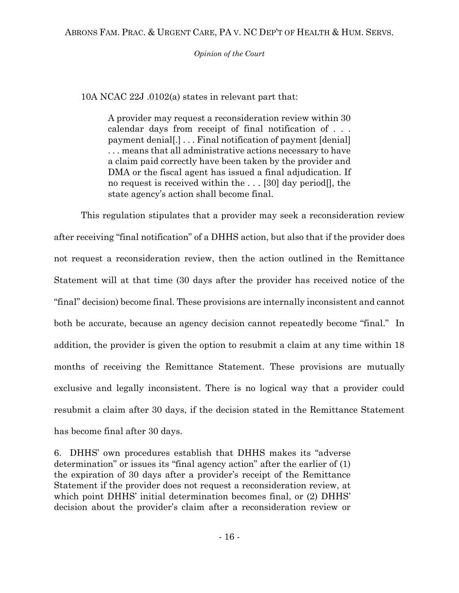10A NCAC 22J .0102(a) states in relevant part that:

A provider may request a reconsideration review within 30 calendar days from receipt of final notification of . . . payment denial[.] . . . Final notification of payment [denial] . . . means that all administrative actions necessary to have a claim paid correctly have been taken by the provider and DMA or the fiscal agent has issued a final adjudication. If no request is received within the . . . [30] day period[], the state agency's action shall become final.

This regulation stipulates that a provider may seek a reconsideration review after receiving "final notification" of a DHHS action, but also that if the provider does not request a reconsideration review, then the action outlined in the Remittance Statement will at that time (30 days after the provider has received notice of the "final" decision) become final. These provisions are internally inconsistent and cannot both be accurate, because an agency decision cannot repeatedly become "final." In addition, the provider is given the option to resubmit a claim at any time within 18 months of receiving the Remittance Statement. These provisions are mutually exclusive and legally inconsistent. There is no logical way that a provider could resubmit a claim after 30 days, if the decision stated in the Remittance Statement has become final after 30 days.

6. DHHS' own procedures establish that DHHS makes its "adverse determination" or issues its "final agency action" after the earlier of (1) the expiration of 30 days after a provider's receipt of the Remittance Statement if the provider does not request a reconsideration review, at which point DHHS' initial determination becomes final, or  $(2)$  DHHS' decision about the provider's claim after a reconsideration review or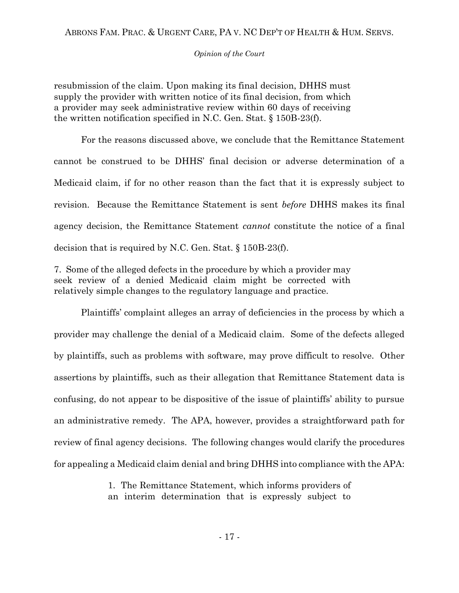*Opinion of the Court*

resubmission of the claim. Upon making its final decision, DHHS must supply the provider with written notice of its final decision, from which a provider may seek administrative review within 60 days of receiving the written notification specified in N.C. Gen. Stat. § 150B-23(f).

For the reasons discussed above, we conclude that the Remittance Statement cannot be construed to be DHHS' final decision or adverse determination of a Medicaid claim, if for no other reason than the fact that it is expressly subject to revision. Because the Remittance Statement is sent *before* DHHS makes its final agency decision, the Remittance Statement *cannot* constitute the notice of a final decision that is required by N.C. Gen. Stat. § 150B-23(f).

7. Some of the alleged defects in the procedure by which a provider may seek review of a denied Medicaid claim might be corrected with relatively simple changes to the regulatory language and practice.

Plaintiffs' complaint alleges an array of deficiencies in the process by which a provider may challenge the denial of a Medicaid claim. Some of the defects alleged by plaintiffs, such as problems with software, may prove difficult to resolve. Other assertions by plaintiffs, such as their allegation that Remittance Statement data is confusing, do not appear to be dispositive of the issue of plaintiffs' ability to pursue an administrative remedy. The APA, however, provides a straightforward path for review of final agency decisions. The following changes would clarify the procedures for appealing a Medicaid claim denial and bring DHHS into compliance with the APA:

> 1. The Remittance Statement, which informs providers of an interim determination that is expressly subject to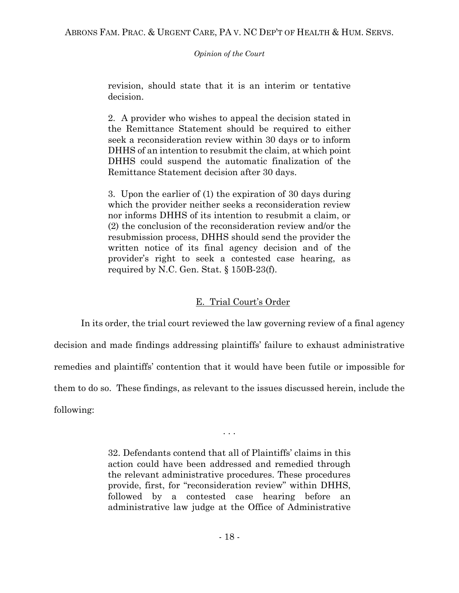*Opinion of the Court*

revision, should state that it is an interim or tentative decision.

2. A provider who wishes to appeal the decision stated in the Remittance Statement should be required to either seek a reconsideration review within 30 days or to inform DHHS of an intention to resubmit the claim, at which point DHHS could suspend the automatic finalization of the Remittance Statement decision after 30 days.

3. Upon the earlier of (1) the expiration of 30 days during which the provider neither seeks a reconsideration review nor informs DHHS of its intention to resubmit a claim, or (2) the conclusion of the reconsideration review and/or the resubmission process, DHHS should send the provider the written notice of its final agency decision and of the provider's right to seek a contested case hearing, as required by N.C. Gen. Stat. § 150B-23(f).

# E. Trial Court's Order

In its order, the trial court reviewed the law governing review of a final agency decision and made findings addressing plaintiffs' failure to exhaust administrative remedies and plaintiffs' contention that it would have been futile or impossible for them to do so. These findings, as relevant to the issues discussed herein, include the following:

. . .

32. Defendants contend that all of Plaintiffs' claims in this action could have been addressed and remedied through the relevant administrative procedures. These procedures provide, first, for "reconsideration review" within DHHS, followed by a contested case hearing before an administrative law judge at the Office of Administrative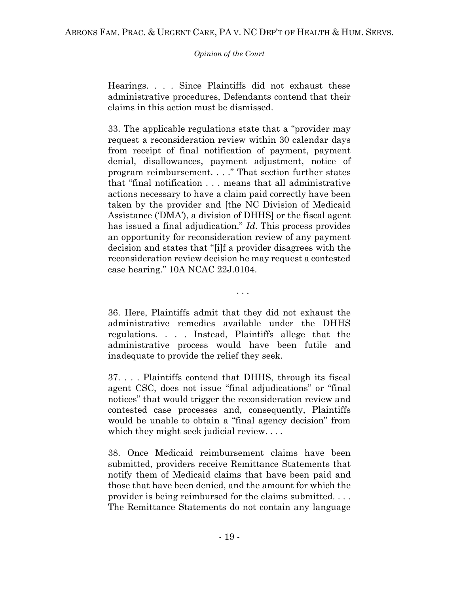Hearings. . . . Since Plaintiffs did not exhaust these administrative procedures, Defendants contend that their claims in this action must be dismissed.

33. The applicable regulations state that a "provider may request a reconsideration review within 30 calendar days from receipt of final notification of payment, payment denial, disallowances, payment adjustment, notice of program reimbursement. . . ." That section further states that "final notification . . . means that all administrative actions necessary to have a claim paid correctly have been taken by the provider and [the NC Division of Medicaid Assistance ('DMA'), a division of DHHS] or the fiscal agent has issued a final adjudication." *Id*. This process provides an opportunity for reconsideration review of any payment decision and states that "[i]f a provider disagrees with the reconsideration review decision he may request a contested case hearing." 10A NCAC 22J.0104.

. . .

36. Here, Plaintiffs admit that they did not exhaust the administrative remedies available under the DHHS regulations. . . . Instead, Plaintiffs allege that the administrative process would have been futile and inadequate to provide the relief they seek.

37. . . . Plaintiffs contend that DHHS, through its fiscal agent CSC, does not issue "final adjudications" or "final notices" that would trigger the reconsideration review and contested case processes and, consequently, Plaintiffs would be unable to obtain a "final agency decision" from which they might seek judicial review....

38. Once Medicaid reimbursement claims have been submitted, providers receive Remittance Statements that notify them of Medicaid claims that have been paid and those that have been denied, and the amount for which the provider is being reimbursed for the claims submitted. . . . The Remittance Statements do not contain any language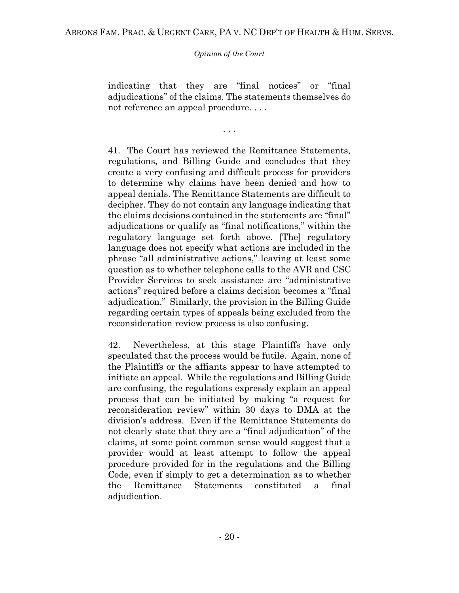indicating that they are "final notices" or "final adjudications" of the claims. The statements themselves do not reference an appeal procedure. . . .

. . .

41. The Court has reviewed the Remittance Statements, regulations, and Billing Guide and concludes that they create a very confusing and difficult process for providers to determine why claims have been denied and how to appeal denials. The Remittance Statements are difficult to decipher. They do not contain any language indicating that the claims decisions contained in the statements are "final" adjudications or qualify as "final notifications," within the regulatory language set forth above. [The] regulatory language does not specify what actions are included in the phrase "all administrative actions," leaving at least some question as to whether telephone calls to the AVR and CSC Provider Services to seek assistance are "administrative actions" required before a claims decision becomes a "final adjudication." Similarly, the provision in the Billing Guide regarding certain types of appeals being excluded from the reconsideration review process is also confusing.

42. Nevertheless, at this stage Plaintiffs have only speculated that the process would be futile. Again, none of the Plaintiffs or the affiants appear to have attempted to initiate an appeal. While the regulations and Billing Guide are confusing, the regulations expressly explain an appeal process that can be initiated by making "a request for reconsideration review" within 30 days to DMA at the division's address. Even if the Remittance Statements do not clearly state that they are a "final adjudication" of the claims, at some point common sense would suggest that a provider would at least attempt to follow the appeal procedure provided for in the regulations and the Billing Code, even if simply to get a determination as to whether the Remittance Statements constituted a final adjudication.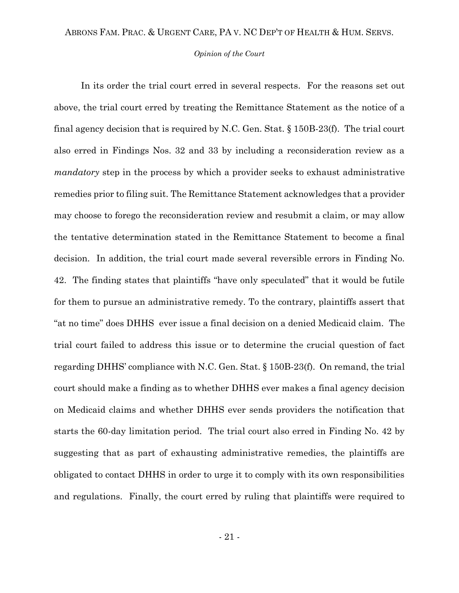#### *Opinion of the Court*

In its order the trial court erred in several respects. For the reasons set out above, the trial court erred by treating the Remittance Statement as the notice of a final agency decision that is required by N.C. Gen. Stat. § 150B-23(f). The trial court also erred in Findings Nos. 32 and 33 by including a reconsideration review as a *mandatory* step in the process by which a provider seeks to exhaust administrative remedies prior to filing suit. The Remittance Statement acknowledges that a provider may choose to forego the reconsideration review and resubmit a claim, or may allow the tentative determination stated in the Remittance Statement to become a final decision. In addition, the trial court made several reversible errors in Finding No. 42. The finding states that plaintiffs "have only speculated" that it would be futile for them to pursue an administrative remedy. To the contrary, plaintiffs assert that "at no time" does DHHS ever issue a final decision on a denied Medicaid claim. The trial court failed to address this issue or to determine the crucial question of fact regarding DHHS' compliance with N.C. Gen. Stat. § 150B-23(f). On remand, the trial court should make a finding as to whether DHHS ever makes a final agency decision on Medicaid claims and whether DHHS ever sends providers the notification that starts the 60-day limitation period. The trial court also erred in Finding No. 42 by suggesting that as part of exhausting administrative remedies, the plaintiffs are obligated to contact DHHS in order to urge it to comply with its own responsibilities and regulations. Finally, the court erred by ruling that plaintiffs were required to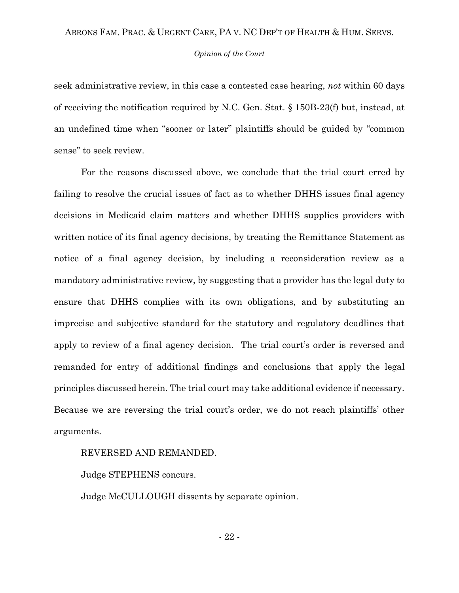#### *Opinion of the Court*

seek administrative review, in this case a contested case hearing, *not* within 60 days of receiving the notification required by N.C. Gen. Stat. § 150B-23(f) but, instead, at an undefined time when "sooner or later" plaintiffs should be guided by "common sense" to seek review.

For the reasons discussed above, we conclude that the trial court erred by failing to resolve the crucial issues of fact as to whether DHHS issues final agency decisions in Medicaid claim matters and whether DHHS supplies providers with written notice of its final agency decisions, by treating the Remittance Statement as notice of a final agency decision, by including a reconsideration review as a mandatory administrative review, by suggesting that a provider has the legal duty to ensure that DHHS complies with its own obligations, and by substituting an imprecise and subjective standard for the statutory and regulatory deadlines that apply to review of a final agency decision. The trial court's order is reversed and remanded for entry of additional findings and conclusions that apply the legal principles discussed herein. The trial court may take additional evidence if necessary. Because we are reversing the trial court's order, we do not reach plaintiffs' other arguments.

## REVERSED AND REMANDED.

Judge STEPHENS concurs.

Judge McCULLOUGH dissents by separate opinion.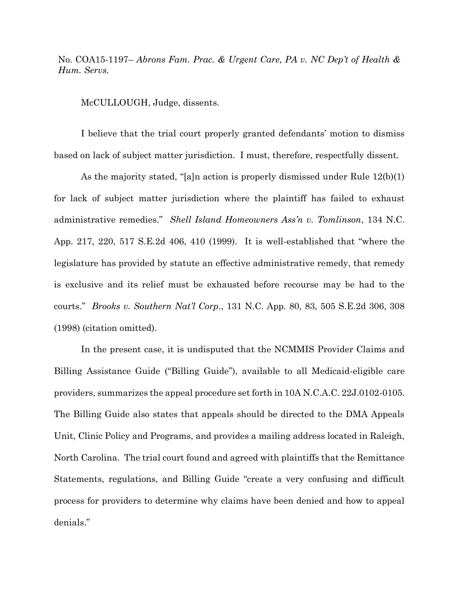No. COA15-1197– *Abrons Fam. Prac. & Urgent Care, PA v. NC Dep't of Health & Hum. Servs.*

McCULLOUGH, Judge, dissents.

I believe that the trial court properly granted defendants' motion to dismiss based on lack of subject matter jurisdiction. I must, therefore, respectfully dissent.

As the majority stated, "[a]n action is properly dismissed under Rule 12(b)(1) for lack of subject matter jurisdiction where the plaintiff has failed to exhaust administrative remedies." *Shell Island Homeowners Ass'n v. Tomlinson*, 134 N.C. App. 217, 220, 517 S.E.2d 406, 410 (1999). It is well-established that "where the legislature has provided by statute an effective administrative remedy, that remedy is exclusive and its relief must be exhausted before recourse may be had to the courts." *Brooks v. Southern Nat'l Corp*., 131 N.C. App. 80, 83, 505 S.E.2d 306, 308 (1998) (citation omitted).

In the present case, it is undisputed that the NCMMIS Provider Claims and Billing Assistance Guide ("Billing Guide"), available to all Medicaid-eligible care providers, summarizes the appeal procedure set forth in 10A N.C.A.C. 22J.0102-0105. The Billing Guide also states that appeals should be directed to the DMA Appeals Unit, Clinic Policy and Programs, and provides a mailing address located in Raleigh, North Carolina. The trial court found and agreed with plaintiffs that the Remittance Statements, regulations, and Billing Guide "create a very confusing and difficult process for providers to determine why claims have been denied and how to appeal denials."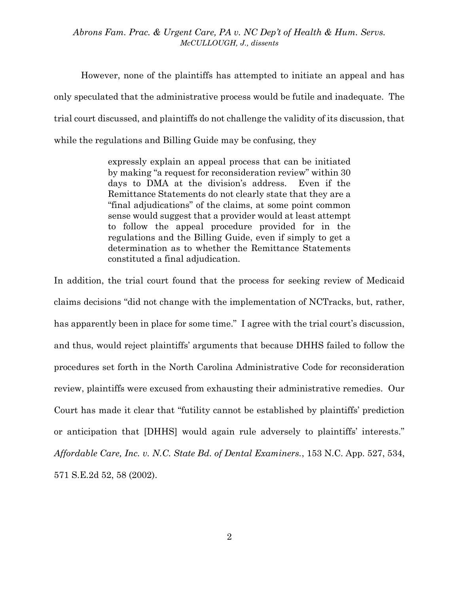*Abrons Fam. Prac. & Urgent Care, PA v. NC Dep't of Health & Hum. Servs. McCULLOUGH, J., dissents*

However, none of the plaintiffs has attempted to initiate an appeal and has only speculated that the administrative process would be futile and inadequate. The trial court discussed, and plaintiffs do not challenge the validity of its discussion, that while the regulations and Billing Guide may be confusing, they

> expressly explain an appeal process that can be initiated by making "a request for reconsideration review" within 30 days to DMA at the division's address. Even if the Remittance Statements do not clearly state that they are a "final adjudications" of the claims, at some point common sense would suggest that a provider would at least attempt to follow the appeal procedure provided for in the regulations and the Billing Guide, even if simply to get a determination as to whether the Remittance Statements constituted a final adjudication.

In addition, the trial court found that the process for seeking review of Medicaid claims decisions "did not change with the implementation of NCTracks, but, rather, has apparently been in place for some time." I agree with the trial court's discussion, and thus, would reject plaintiffs' arguments that because DHHS failed to follow the procedures set forth in the North Carolina Administrative Code for reconsideration review, plaintiffs were excused from exhausting their administrative remedies. Our Court has made it clear that "futility cannot be established by plaintiffs' prediction or anticipation that [DHHS] would again rule adversely to plaintiffs' interests." *Affordable Care, Inc. v. N.C. State Bd. of Dental Examiners.*, 153 N.C. App. 527, 534, 571 S.E.2d 52, 58 (2002).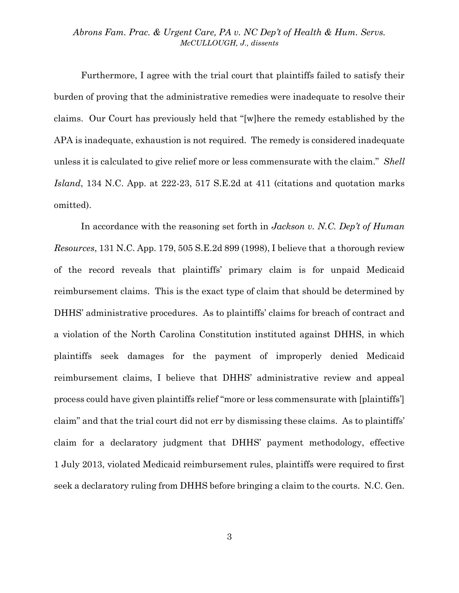## *Abrons Fam. Prac. & Urgent Care, PA v. NC Dep't of Health & Hum. Servs. McCULLOUGH, J., dissents*

Furthermore, I agree with the trial court that plaintiffs failed to satisfy their burden of proving that the administrative remedies were inadequate to resolve their claims. Our Court has previously held that "[w]here the remedy established by the APA is inadequate, exhaustion is not required. The remedy is considered inadequate unless it is calculated to give relief more or less commensurate with the claim." *Shell Island*, 134 N.C. App. at 222-23, 517 S.E.2d at 411 (citations and quotation marks omitted).

In accordance with the reasoning set forth in *Jackson v. N.C. Dep't of Human Resources*, 131 N.C. App. 179, 505 S.E.2d 899 (1998), I believe that a thorough review of the record reveals that plaintiffs' primary claim is for unpaid Medicaid reimbursement claims. This is the exact type of claim that should be determined by DHHS' administrative procedures. As to plaintiffs' claims for breach of contract and a violation of the North Carolina Constitution instituted against DHHS, in which plaintiffs seek damages for the payment of improperly denied Medicaid reimbursement claims, I believe that DHHS' administrative review and appeal process could have given plaintiffs relief "more or less commensurate with [plaintiffs'] claim" and that the trial court did not err by dismissing these claims. As to plaintiffs' claim for a declaratory judgment that DHHS' payment methodology, effective 1 July 2013, violated Medicaid reimbursement rules, plaintiffs were required to first seek a declaratory ruling from DHHS before bringing a claim to the courts. N.C. Gen.